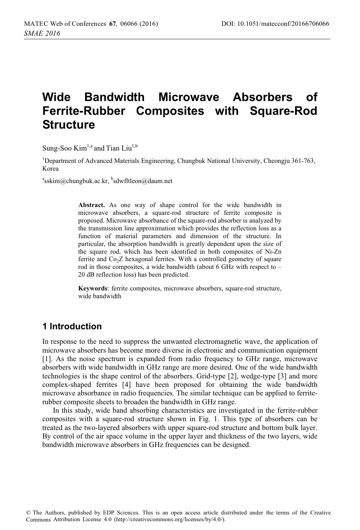# **Wide Bandwidth Microwave Absorbers of Ferrite-Rubber Composites with Square-Rod Structure**

Sung-Soo  $Kim<sup>1,a</sup>$  and Tian Liu<sup>1,b</sup>

<sup>1</sup>Department of Advanced Materials Engineering, Chungbuk National University, Cheongju 361-763, Korea

<sup>a</sup>sskim@chungbuk.ac.kr, <sup>b</sup>sdwfltleon@daum.net

**Abstract.** As one way of shape control for the wide bandwidth in microwave absorbers, a square-rod structure of ferrite composite is proposed. Microwave absorbance of the square-rod absorber is analyzed by the transmission line approximation which provides the reflection loss as a function of material parameters and dimension of the structure. In particular, the absorption bandwidth is greatly dependent upon the size of the square rod, which has been identified in both composites of Ni-Zn ferrite and  $Co<sub>2</sub>Z$  hexagonal ferrites. With a controlled geometry of square rod in those composites, a wide bandwidth (about 6 GHz with respect to – 20 dB reflection loss) has been predicted.

**Keywords**: ferrite composites, microwave absorbers, square-rod structure, wide bandwidth

# **1 Introduction**

In response to the need to suppress the unwanted electromagnetic wave, the application of microwave absorbers has become more diverse in electronic and communication equipment [1]. As the noise spectrum is expanded from radio frequency to GHz range, microwave absorbers with wide bandwidth in GHz range are more desired. One of the wide bandwidth technologies is the shape control of the absorbers. Grid-type [2], wedge-type [3] and more complex-shaped ferrites [4] have been proposed for obtaining the wide bandwidth microwave absorbance in radio frequencies. The similar technique can be applied to ferriterubber composite sheets to broaden the bandwidth in GHz range.

In this study, wide band absorbing characteristics are investigated in the ferrite-rubber composites with a square-rod structure shown in Fig. 1. This type of absorbers can be treated as the two-layered absorbers with upper square-rod structure and bottom bulk layer. By control of the air space volume in the upper layer and thickness of the two layers, wide bandwidth microwave absorbers in GHz frequencies can be designed.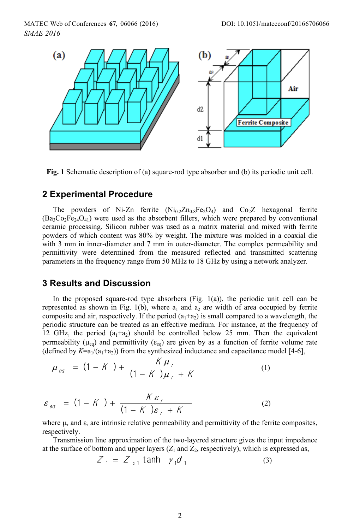MATEC Web of Conferences  $67, 06066$  (2016) *SMAE 2016*



**Fig. 1** Schematic description of (a) square-rod type absorber and (b) its periodic unit cell.

#### **2 Experimental Procedure**

The powders of Ni-Zn ferrite  $(Ni_0 2n_0 8Fe_2O_4)$  and  $Co_2Z$  hexagonal ferrite  $(Ba_3Co_2Fe_{24}O_{41})$  were used as the absorbent fillers, which were prepared by conventional ceramic processing. Silicon rubber was used as a matrix material and mixed with ferrite powders of which content was 80% by weight. The mixture was molded in a coaxial die with 3 mm in inner-diameter and 7 mm in outer-diameter. The complex permeability and permittivity were determined from the measured reflected and transmitted scattering parameters in the frequency range from 50 MHz to 18 GHz by using a network analyzer.

#### **3 Results and Discussion**

In the proposed square-rod type absorbers  $(Fig. 1(a))$ , the periodic unit cell can be represented as shown in Fig. 1(b), where  $a_1$  and  $a_2$  are width of area occupied by ferrite composite and air, respectively. If the period  $(a_1 + a_2)$  is small compared to a wavelength, the periodic structure can be treated as an effective medium. For instance, at the frequency of 12 GHz, the period  $(a_1+a_2)$  should be controlled below 25 mm. Then the equivalent permeability ( $\mu_{eq}$ ) and permittivity ( $\varepsilon_{eq}$ ) are given by as a function of ferrite volume rate (defined by  $K=a_1/(a_1+a_2)$ ) from the synthesized inductance and capacitance model [4-6],

$$
\mu_{eq} = (1 - K) + \frac{K \mu_{r}}{(1 - K) \mu_{r} + K}
$$
 (1)

$$
\varepsilon_{eq} = (1 - K) + \frac{K \varepsilon_r}{(1 - K) \varepsilon_r + K}
$$
 (2)

where  $\mu_r$  and  $\varepsilon_r$  are intrinsic relative permeability and permittivity of the ferrite composites, respectively.

Transmission line approximation of the two-layered structure gives the input impedance at the surface of bottom and upper layers  $(Z_1 \text{ and } Z_2)$ , respectively), which is expressed as,

$$
Z_{1} = Z_{c1} \tanh \gamma_{1} d_{1} \tag{3}
$$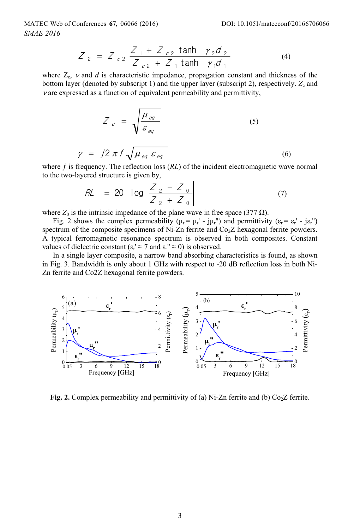$$
Z_2 = Z_{c2} \frac{Z_1 + Z_{c2} \tanh \gamma_2 d_2}{Z_{c2} + Z_1 \tanh \gamma_1 d_1}
$$
 (4)

where  $Z_c$ ,  $\nu$  and  $d$  is characteristic impedance, propagation constant and thickness of the bottom layer (denoted by subscript 1) and the upper layer (subscript 2), respectively.  $Z_c$  and  $\nu$  are expressed as a function of equivalent permeability and permittivity,

$$
Z_c = \sqrt{\frac{\mu_{eq}}{\varepsilon_{eq}}}
$$
 (5)  

$$
\gamma = j2 \pi f \sqrt{\mu_{eq} \varepsilon_{eq}}
$$
 (6)

where  $f$  is frequency. The reflection loss  $(RL)$  of the incident electromagnetic wave normal to the two-layered structure is given by,

$$
RL = 20 \log \left| \frac{Z_2 - Z_0}{Z_2 + Z_0} \right|
$$
 (7)

where  $Z_0$  is the intrinsic impedance of the plane wave in free space (377  $\Omega$ ).

Fig. 2 shows the complex permeability ( $\mu_r = \mu_r' - j\mu_r''$ ) and permittivity ( $\varepsilon_r = \varepsilon_r' - j\varepsilon_r''$ ) spectrum of the composite specimens of Ni-Zn ferrite and  $Co<sub>2</sub>Z$  hexagonal ferrite powders. A typical ferromagnetic resonance spectrum is observed in both composites. Constant values of dielectric constant ( $\epsilon_r' \approx 7$  and  $\epsilon_r'' \approx 0$ ) is observed.

In a single layer composite, a narrow band absorbing characteristics is found, as shown in Fig. 3. Bandwidth is only about 1 GHz with respect to -20 dB reflection loss in both Ni-Zn ferrite and Co2Z hexagonal ferrite powders.



**Fig. 2.** Complex permeability and permittivity of (a) Ni-Zn ferrite and (b)  $Co<sub>2</sub>Z$  ferrite.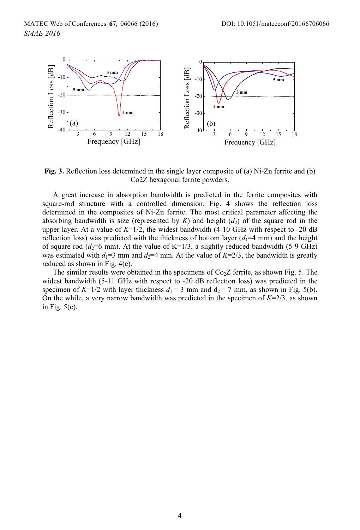

**Fig. 3.** Reflection loss determined in the single layer composite of (a) Ni-Zn ferrite and (b) Co2Z hexagonal ferrite powders.

A great increase in absorption bandwidth is predicted in the ferrite composites with square-rod structure with a controlled dimension. Fig. 4 shows the reflection loss determined in the composites of Ni-Zn ferrite. The most critical parameter affecting the absorbing bandwidth is size (represented by  $K$ ) and height  $(d_2)$  of the square rod in the upper layer. At a value of  $K=1/2$ , the widest bandwidth (4-10 GHz with respect to -20 dB reflection loss) was predicted with the thickness of bottom layer  $(d_1=4 \text{ mm})$  and the height of square rod ( $d_2$ =6 mm). At the value of K=1/3, a slightly reduced bandwidth (5-9 GHz) was estimated with  $d_1=3$  mm and  $d_2=4$  mm. At the value of  $K=2/3$ , the bandwidth is greatly reduced as shown in Fig. 4(c).

The similar results were obtained in the specimens of  $Co<sub>2</sub>Z$  ferrite, as shown Fig. 5. The widest bandwidth (5-11 GHz with respect to -20 dB reflection loss) was predicted in the specimen of  $K=1/2$  with layer thickness  $d_1 = 3$  mm and  $d_2 = 7$  mm, as shown in Fig. 5(b). On the while, a very narrow bandwidth was predicted in the specimen of  $K=2/3$ , as shown in Fig.  $5(c)$ .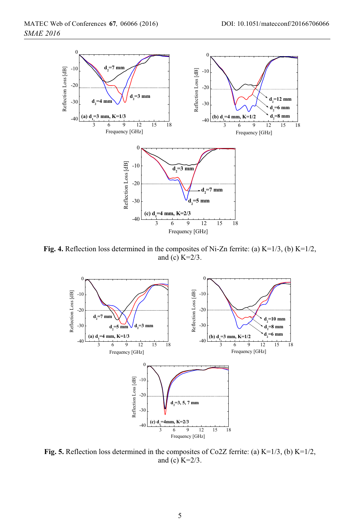

**Fig. 4.** Reflection loss determined in the composites of Ni-Zn ferrite: (a) K=1/3, (b) K=1/2, and (c) K=2/3.



**Fig. 5.** Reflection loss determined in the composites of Co2Z ferrite: (a) K=1/3, (b) K=1/2, and (c) K=2/3.